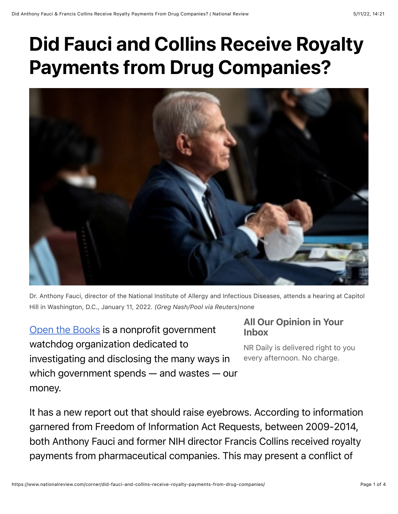## Did Fauci and Collins Receive Royalty Payments from Drug Companies?



Dr. Anthony Fauci, director of the National Institute of Allergy and Infectious Diseases, attends a hearing at Capitol Hill in Washington, D.C., January 11, 2022. *(Greg Nash/Pool via Reuters)*none

[Open the Books](https://www.openthebooks.com/?msclkid=560bf0e7d12311eca4549b9731629c04) is a nonprofit government watchdog organization dedicated to investigating and disclosing the many ways in which government spends — and wastes — our money.

## All Our Opinion in Your Inbox

NR Daily is delivered right to you every afternoon. No charge.

It has a new report out that should raise eyebrows. According to information garnered from Freedom of Information Act Requests, between 2009-2014, both Anthony Fauci and former NIH director Francis Collins received royalty payments from pharmaceutical companies. This may present a conflict of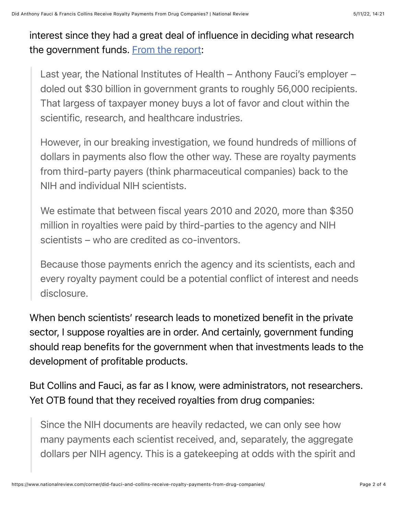interest since they had a great deal of influence in deciding what research the government funds. [From the report](https://www.openthebooks.com/substack-investigation-faucis-royalties-and-the-350-million-royalty-payment-stream-hidden-by-nih/):

Last year, the National Institutes of Health – Anthony Fauci's employer – doled out \$30 billion in government grants to roughly 56,000 recipients. That largess of taxpayer money buys a lot of favor and clout within the scientific, research, and healthcare industries.

However, in our breaking investigation, we found hundreds of millions of dollars in payments also flow the other way. These are royalty payments from third-party payers (think pharmaceutical companies) back to the NIH and individual NIH scientists.

We estimate that between fiscal years 2010 and 2020, more than \$350 million in royalties were paid by third-parties to the agency and NIH scientists – who are credited as co-inventors.

Because those payments enrich the agency and its scientists, each and every royalty payment could be a potential conflict of interest and needs disclosure.

When bench scientists' research leads to monetized benefit in the private sector, I suppose royalties are in order. And certainly, government funding should reap benefits for the government when that investments leads to the development of profitable products.

But Collins and Fauci, as far as I know, were administrators, not researchers. Yet OTB found that they received royalties from drug companies:

Since the NIH documents are heavily redacted, we can only see how many payments each scientist received, and, separately, the aggregate dollars per NIH agency. This is a gatekeeping at odds with the spirit and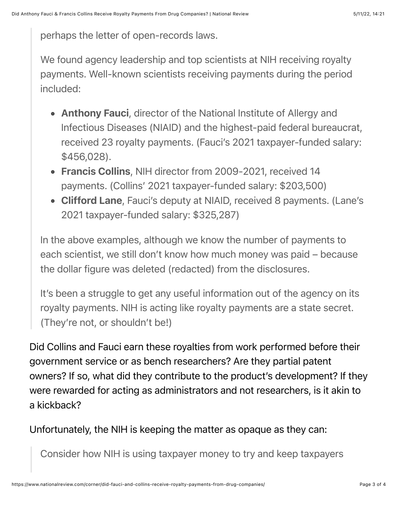perhaps the letter of open-records laws.

We found agency leadership and top scientists at NIH receiving royalty payments. Well-known scientists receiving payments during the period included:

- Anthony Fauci, director of the National Institute of Allergy and Infectious Diseases (NIAID) and the highest-paid federal bureaucrat, received 23 royalty payments. (Fauci's 2021 taxpayer-funded salary: \$456,028).
- Francis Collins, NIH director from 2009-2021, received 14 payments. (Collins' 2021 taxpayer-funded salary: \$203,500)
- Clifford Lane, Fauci's deputy at NIAID, received 8 payments. (Lane's 2021 taxpayer-funded salary: \$325,287)

In the above examples, although we know the number of payments to each scientist, we still don't know how much money was paid – because the dollar figure was deleted (redacted) from the disclosures.

It's been a struggle to get any useful information out of the agency on its royalty payments. NIH is acting like royalty payments are a state secret. (They're not, or shouldn't be!)

Did Collins and Fauci earn these royalties from work performed before their government service or as bench researchers? Are they partial patent owners? If so, what did they contribute to the product's development? If they were rewarded for acting as administrators and not researchers, is it akin to a kickback?

Unfortunately, the NIH is keeping the matter as opaque as they can:

Consider how NIH is using taxpayer money to try and keep taxpayers